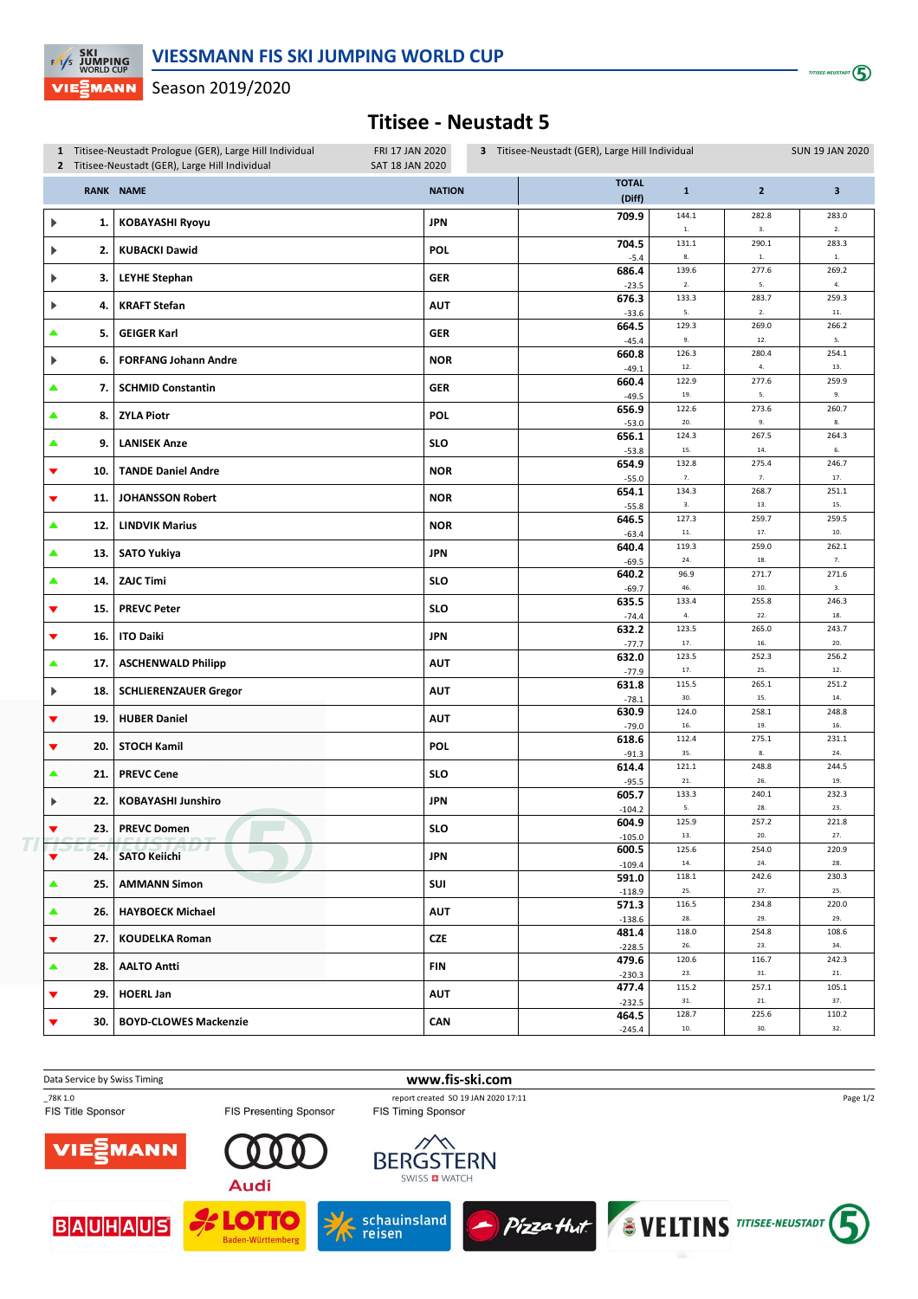$T \sim 10^{-10}$ 

Season 2019/2020 VIE⋛MANN

**EXI**<br>EXIS JUMPING

## **Titisee - Neustadt 5**

|   |                    | 1 Titisee-Neustadt Prologue (GER), Large Hill Individual<br>FRI 17 JAN 2020<br>2 Titisee-Neustadt (GER), Large Hill Individual<br><b>SAT 18 JAN 2020</b> |               | 3 Titisee-Neustadt (GER), Large Hill Individual<br><b>SUN 19 JAN 2020</b> |                        |                     |                   |               |
|---|--------------------|----------------------------------------------------------------------------------------------------------------------------------------------------------|---------------|---------------------------------------------------------------------------|------------------------|---------------------|-------------------|---------------|
|   |                    | <b>RANK NAME</b>                                                                                                                                         | <b>NATION</b> |                                                                           | <b>TOTAL</b><br>(Diff) | $\mathbf 1$         | $\mathbf 2$       | 3             |
| ▶ | 1.                 | <b>KOBAYASHI Ryoyu</b>                                                                                                                                   | <b>JPN</b>    |                                                                           | 709.9                  | 144.1<br>${\bf 1}.$ | 282.8<br>3.       | 283.0<br>2.   |
| ▶ | 2.                 | <b>KUBACKI Dawid</b>                                                                                                                                     | POL           |                                                                           | 704.5                  | 131.1               | 290.1             | 283.3         |
|   |                    |                                                                                                                                                          |               |                                                                           | $-5.4$<br>686.4        | $\bf 8.$<br>139.6   | $1.$<br>277.6     | $1.$<br>269.2 |
| ▶ | 3.                 | <b>LEYHE Stephan</b>                                                                                                                                     | <b>GER</b>    |                                                                           | $-23.5$                | 2.                  | 5.                | 4.            |
| ▶ | 4.                 | <b>KRAFT Stefan</b>                                                                                                                                      | <b>AUT</b>    |                                                                           | 676.3<br>$-33.6$       | 133.3<br>5.         | 283.7<br>$2.$     | 259.3<br>11.  |
|   | 5.                 | <b>GEIGER Karl</b>                                                                                                                                       | <b>GER</b>    |                                                                           | 664.5                  | 129.3               | 269.0             | 266.2         |
| ▶ | 6.                 | <b>FORFANG Johann Andre</b>                                                                                                                              | <b>NOR</b>    |                                                                           | $-45.4$<br>660.8       | 9.<br>126.3         | 12.<br>280.4      | 5.<br>254.1   |
|   |                    |                                                                                                                                                          |               |                                                                           | $-49.1$<br>660.4       | 12.<br>122.9        | 4.<br>277.6       | 13.<br>259.9  |
| ▲ | 7.                 | <b>SCHMID Constantin</b>                                                                                                                                 | <b>GER</b>    |                                                                           | $-49.5$                | 19.                 | 5.                | 9.            |
| ▲ | 8.                 | <b>ZYLA Piotr</b>                                                                                                                                        | POL           |                                                                           | 656.9<br>$-53.0$       | 122.6<br>20.        | 273.6<br>9.       | 260.7<br>8.   |
| ▲ | 9.                 | <b>LANISEK Anze</b>                                                                                                                                      | <b>SLO</b>    |                                                                           | 656.1                  | 124.3               | 267.5             | 264.3         |
|   |                    |                                                                                                                                                          |               |                                                                           | $-53.8$<br>654.9       | 15.<br>132.8        | 14.<br>275.4      | 6.<br>246.7   |
| ▼ | 10.                | <b>TANDE Daniel Andre</b>                                                                                                                                | <b>NOR</b>    |                                                                           | $-55.0$                | 7.                  | 7.                | $17. \,$      |
| ▼ | 11.                | <b>JOHANSSON Robert</b>                                                                                                                                  | <b>NOR</b>    |                                                                           | 654.1<br>$-55.8$       | 134.3<br>3.         | 268.7<br>13.      | 251.1<br>15.  |
| ▲ | 12.                | <b>LINDVIK Marius</b>                                                                                                                                    | <b>NOR</b>    |                                                                           | 646.5                  | 127.3               | 259.7             | 259.5         |
|   |                    |                                                                                                                                                          |               |                                                                           | $-63.4$<br>640.4       | $11.$<br>119.3      | 17.<br>259.0      | 10.<br>262.1  |
| ▲ | 13.                | <b>SATO Yukiya</b>                                                                                                                                       | <b>JPN</b>    |                                                                           | $-69.5$                | 24.                 | 18.               | 7.            |
| ▲ | 14.                | <b>ZAJC Timi</b>                                                                                                                                         | <b>SLO</b>    |                                                                           | 640.2<br>$-69.7$       | 96.9<br>46.         | 271.7<br>10.      | 271.6<br>3.   |
| ▼ | 15.                | <b>PREVC Peter</b>                                                                                                                                       | <b>SLO</b>    |                                                                           | 635.5                  | 133.4               | 255.8             | 246.3         |
|   |                    |                                                                                                                                                          |               |                                                                           | $-74.4$<br>632.2       | 4.<br>123.5         | 22.<br>265.0      | 18.<br>243.7  |
| ▼ | 16.                | <b>ITO Daiki</b>                                                                                                                                         | <b>JPN</b>    |                                                                           | $-77.7$                | 17.<br>123.5        | 16.<br>252.3      | 20.<br>256.2  |
| ▲ | 17.                | <b>ASCHENWALD Philipp</b>                                                                                                                                | <b>AUT</b>    |                                                                           | 632.0<br>$-77.9$       | 17.                 | 25.               | $12. \,$      |
| ▶ | 18.                | <b>SCHLIERENZAUER Gregor</b>                                                                                                                             | <b>AUT</b>    |                                                                           | 631.8<br>$-78.1$       | 115.5<br>30.        | 265.1<br>15.      | 251.2<br>14.  |
| ▼ | 19.                | <b>HUBER Daniel</b>                                                                                                                                      | <b>AUT</b>    |                                                                           | 630.9                  | 124.0               | 258.1             | 248.8         |
|   |                    |                                                                                                                                                          |               |                                                                           | $-79.0$<br>618.6       | 16.<br>112.4        | 19.<br>275.1      | 16.<br>231.1  |
| ▼ | 20.                | <b>STOCH Kamil</b>                                                                                                                                       | <b>POL</b>    |                                                                           | $-91.3$                | 35.                 | $\bf 8.$          | 24.           |
| ▲ | 21.                | <b>PREVC Cene</b>                                                                                                                                        | <b>SLO</b>    |                                                                           | 614.4<br>$-95.5$       | 121.1<br>$21.$      | 248.8<br>26.      | 244.5<br>19.  |
| Þ | 22.                | <b>KOBAYASHI Junshiro</b>                                                                                                                                | <b>JPN</b>    |                                                                           | 605.7                  | 133.3               | 240.1             | 232.3         |
|   |                    |                                                                                                                                                          |               |                                                                           | $-104.2$<br>604.9      | 5.<br>125.9         | 28.<br>257.2      | 23.<br>221.8  |
|   | 23.<br><u>is L</u> | <b>PREVC Domen</b><br>USTADT                                                                                                                             | <b>SLO</b>    |                                                                           | $-105.0$               | 13.                 | 20.               | 27.           |
| ▼ | 24.                | <b>SATO Keiichi</b>                                                                                                                                      | JPN           |                                                                           | 600.5<br>$-109.4$      | 125.6<br>14.        | 254.0<br>24.      | 220.9<br>28.  |
| ▲ | 25.                | <b>AMMANN Simon</b>                                                                                                                                      | SUI           |                                                                           | 591.0                  | 118.1<br>25.        | 242.6<br>27.      | 230.3<br>25.  |
| ▲ | 26.                | <b>HAYBOECK Michael</b>                                                                                                                                  | <b>AUT</b>    |                                                                           | $-118.9$<br>571.3      | 116.5               | 234.8             | 220.0         |
|   |                    |                                                                                                                                                          |               |                                                                           | $-138.6$<br>481.4      | 28.<br>118.0        | 29.<br>254.8      | 29.<br>108.6  |
| ▼ | 27.1               | <b>KOUDELKA Roman</b>                                                                                                                                    | CZE           |                                                                           | $-228.5$               | 26.                 | 23.               | 34.           |
| ▲ | 28.                | <b>AALTO Antti</b>                                                                                                                                       | <b>FIN</b>    |                                                                           | 479.6<br>$-230.3$      | 120.6<br>23.        | 116.7<br>31.      | 242.3<br>21.  |
| ▼ | 29.1               | <b>HOERL Jan</b>                                                                                                                                         | <b>AUT</b>    |                                                                           | 477.4                  | 115.2               | 257.1             | 105.1         |
|   |                    |                                                                                                                                                          |               |                                                                           | $-232.5$<br>464.5      | 31.<br>128.7        | $21. \,$<br>225.6 | 37.<br>110.2  |
| ▼ | 30.1               | <b>BOYD-CLOWES Mackenzie</b>                                                                                                                             | <b>CAN</b>    |                                                                           | $-245.4$               | 10.                 | 30.               | 32.           |

**Data Service by Swiss Timing WWW.fis-ski.com** 

 $\overline{T}$ 

FIS Presenting Sponsor

**Audi** 

**LOTTO** 

Baden-Württemberg

\_78K 1.0 report created SO 19 JAN 2020 17:11<br>FIS Title Sponsor FIS Tessenting Sponsor FIS Timing Sponsor



**BAUHAUS** 











Page 1/2